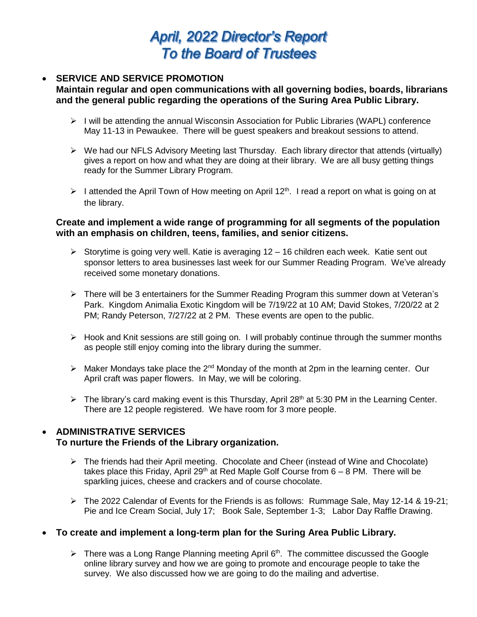# **April, 2022 Director's Report To the Board of Trustees**

## **SERVICE AND SERVICE PROMOTION**

## **Maintain regular and open communications with all governing bodies, boards, librarians and the general public regarding the operations of the Suring Area Public Library.**

- $\triangleright$  I will be attending the annual Wisconsin Association for Public Libraries (WAPL) conference May 11-13 in Pewaukee. There will be guest speakers and breakout sessions to attend.
- $\triangleright$  We had our NFLS Advisory Meeting last Thursday. Each library director that attends (virtually) gives a report on how and what they are doing at their library. We are all busy getting things ready for the Summer Library Program.
- $\triangleright$  I attended the April Town of How meeting on April 12<sup>th</sup>. I read a report on what is going on at the library.

## **Create and implement a wide range of programming for all segments of the population with an emphasis on children, teens, families, and senior citizens.**

- $\triangleright$  Storytime is going very well. Katie is averaging 12 16 children each week. Katie sent out sponsor letters to area businesses last week for our Summer Reading Program. We've already received some monetary donations.
- There will be 3 entertainers for the Summer Reading Program this summer down at Veteran's Park. Kingdom Animalia Exotic Kingdom will be 7/19/22 at 10 AM; David Stokes, 7/20/22 at 2 PM; Randy Peterson, 7/27/22 at 2 PM. These events are open to the public.
- $\triangleright$  Hook and Knit sessions are still going on. I will probably continue through the summer months as people still enjoy coming into the library during the summer.
- $\triangleright$  Maker Mondays take place the 2<sup>nd</sup> Monday of the month at 2pm in the learning center. Our April craft was paper flowers. In May, we will be coloring.
- $\triangleright$  The library's card making event is this Thursday, April 28<sup>th</sup> at 5:30 PM in the Learning Center. There are 12 people registered. We have room for 3 more people.

## **ADMINISTRATIVE SERVICES**

## **To nurture the Friends of the Library organization.**

- $\triangleright$  The friends had their April meeting. Chocolate and Cheer (instead of Wine and Chocolate) takes place this Friday, April 29<sup>th</sup> at Red Maple Golf Course from  $6 - 8$  PM. There will be sparkling juices, cheese and crackers and of course chocolate.
- The 2022 Calendar of Events for the Friends is as follows: Rummage Sale, May 12-14 & 19-21; Pie and Ice Cream Social, July 17; Book Sale, September 1-3; Labor Day Raffle Drawing.

## **To create and implement a long-term plan for the Suring Area Public Library.**

 $\triangleright$  There was a Long Range Planning meeting April 6<sup>th</sup>. The committee discussed the Google online library survey and how we are going to promote and encourage people to take the survey. We also discussed how we are going to do the mailing and advertise.